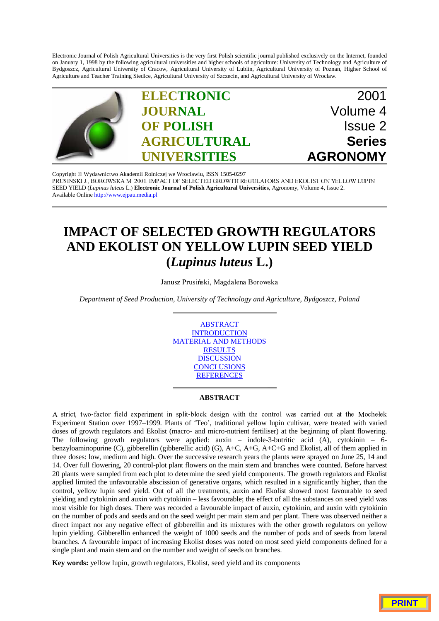Electronic Journal of Polish Agricultural Universities is the very first Polish scientific journal published exclusively on the Internet, founded on January 1, 1998 by the following agricultural universities and higher schools of agriculture: University of Technology and Agriculture of Bydgoszcz, Agricultural University of Cracow, Agricultural University of Lublin, Agricultural University of Poznan, Higher School of Agriculture and Teacher Training Siedlce, Agricultural University of Szczecin, and Agricultural University of Wroclaw.



Copyright © Wydawnictwo Akademii Rolniczej we Wroclawiu, ISSN 1505-0297<br>PRUSIŃSKI J., BOROWSKA M. 2001. IMPACT OF SELECTED GROWTH REGULATORS AND EKOLIST ON YELLOW LUPIN SEED YIELD (*Lupinus luteus* L.) **Electronic Journal of Polish Agricultural Universities**, Agronomy, Volume 4, Issue 2. Available Online http://www.ejpau.media.pl

# **IMPACT OF SELECTED GROWTH REGULATORS AND EKOLIST ON YELLOW LUPIN SEED YIELD (***Lupinus luteus* **L.)**

Janusz Prusiński, Magdalena Borowska

*Department of Seed Production, University of Technology and Agriculture, Bydgoszcz, Poland*



### **ABSTRACT**

A strict, two-factor field experiment in split-block design with the control was carried out at the Mochełek Experiment Station over 1997–1999. Plants of 'Teo', traditional yellow lupin cultivar, were treated with varied doses of growth regulators and Ekolist (macro- and micro-nutrient fertiliser) at the beginning of plant flowering. The following growth regulators were applied: auxin – indole-3-butritic acid (A), cytokinin – 6 benzyloaminopurine (C), gibberellin (gibberellic acid) (G), A+C, A+G, A+C+G and Ekolist, all of them applied in three doses: low, medium and high. Over the successive research years the plants were sprayed on June 25, 14 and 14. Over full flowering, 20 control-plot plant flowers on the main stem and branches were counted. Before harvest 20 plants were sampled from each plot to determine the seed yield components. The growth regulators and Ekolist applied limited the unfavourable abscission of generative organs, which resulted in a significantly higher, than the control, yellow lupin seed yield. Out of all the treatments, auxin and Ekolist showed most favourable to seed yielding and cytokinin and auxin with cytokinin – less favourable; the effect of all the substances on seed yield was most visible for high doses. There was recorded a favourable impact of auxin, cytokinin, and auxin with cytokinin on the number of pods and seeds and on the seed weight per main stem and per plant. There was observed neither a direct impact nor any negative effect of gibberellin and its mixtures with the other growth regulators on yellow lupin yielding. Gibberellin enhanced the weight of 1000 seeds and the number of pods and of seeds from lateral branches. A favourable impact of increasing Ekolist doses was noted on most seed yield components defined for a single plant and main stem and on the number and weight of seeds on branches.

**Key words:** yellow lupin, growth regulators, Ekolist, seed yield and its components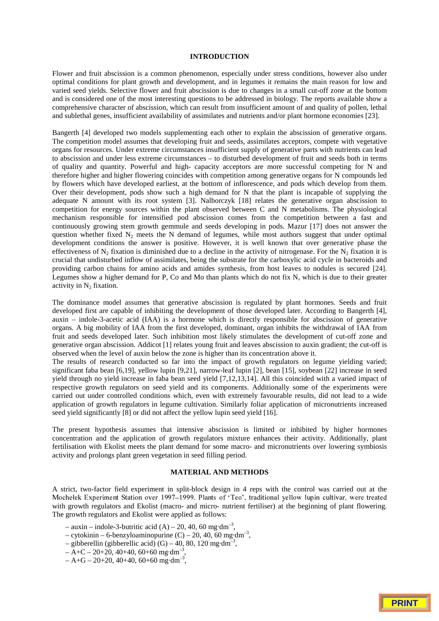#### **INTRODUCTION**

Flower and fruit abscission is a common phenomenon, especially under stress conditions, however also under optimal conditions for plant growth and development, and in legumes it remains the main reason for low and varied seed yields. Selective flower and fruit abscission is due to changes in a small cut-off zone at the bottom and is considered one of the most interesting questions to be addressed in biology. The reports available show a comprehensive character of abscission, which can result from insufficient amount of and quality of pollen, lethal and sublethal genes, insufficient availability of assimilates and nutrients and/or plant hormone economies [23].

Bangerth [4] developed two models supplementing each other to explain the abscission of generative organs. The competition model assumes that developing fruit and seeds, assimilates acceptors, compete with vegetative organs for resources. Under extreme circumstances insufficient supply of generative parts with nutrients can lead to abscission and under less extreme circumstances – to disturbed development of fruit and seeds both in terms of quality and quantity. Powerful and high- capacity acceptors are more successful competing for N and therefore higher and higher flowering coincides with competition among generative organs for N compounds led by flowers which have developed earliest, at the bottom of inflorescence, and pods which develop from them. Over their development, pods show such a high demand for N that the plant is incapable of supplying the adequate N amount with its root system [3]. Nalborczyk [18] relates the generative organ abscission to competition for energy sources within the plant observed between C and N metabolisms. The physiological mechanism responsible for intensified pod abscission comes from the competition between a fast and continuously growing stem growth gemmule and seeds developing in pods. Mazur [17] does not answer the question whether fixed  $N_2$  meets the N demand of legumes, while most authors suggest that under optimal development conditions the answer is positive. However, it is well known that over generative phase the effectiveness of  $N_2$  fixation is diminished due to a decline in the activity of nitrogenase. For the  $N_2$  fixation it is crucial that undisturbed inflow of assimilates, being the substrate for the carboxylic acid cycle in bacteroids and providing carbon chains for amino acids and amides synthesis, from host leaves to nodules is secured [24]. Legumes show a higher demand for P, Co and Mo than plants which do not fix N, which is due to their greater activity in  $N_2$  fixation.

The dominance model assumes that generative abscission is regulated by plant hormones. Seeds and fruit developed first are capable of inhibiting the development of those developed later. According to Bangerth [4], auxin – indole-3-acetic acid (IAA) is a hormone which is directly responsible for abscission of generative organs. A big mobility of IAA from the first developed, dominant, organ inhibits the withdrawal of IAA from fruit and seeds developed later. Such inhibition most likely stimulates the development of cut-off zone and generative organ abscission. Addicot [1] relates young fruit and leaves abscission to auxin gradient; the cut-off is observed when the level of auxin below the zone is higher than its concentration above it.

The results of research conducted so far into the impact of growth regulators on legume yielding varied; significant faba bean [6,19], yellow lupin [9,21], narrow-leaf lupin [2], bean [15], soybean [22] increase in seed yield through no yield increase in faba bean seed yield [7,12,13,14]. All this coincided with a varied impact of respective growth regulators on seed yield and its components. Additionally some of the experiments were carried out under controlled conditions which, even with extremely favourable results, did not lead to a wide application of growth regulators in legume cultivation. Similarly foliar application of micronutrients increased seed yield significantly [8] or did not affect the yellow lupin seed yield [16].

The present hypothesis assumes that intensive abscission is limited or inhibited by higher hormones concentration and the application of growth regulators mixture enhances their activity. Additionally, plant fertilisation with Ekolist meets the plant demand for some macro- and micronutrients over lowering symbiosis activity and prolongs plant green vegetation in seed filling period.

# **MATERIAL AND METHODS**

A strict, two-factor field experiment in split-block design in 4 reps with the control was carried out at the Mochelek Experiment Station over 1997–1999. Plants of 'Teo', traditional yellow lupin cultivar, were treated with growth regulators and Ekolist (macro- and micro- nutrient fertiliser) at the beginning of plant flowering. The growth regulators and Ekolist were applied as follows:

- $-$  auxin indole-3-butritic acid (A) 20, 40, 60 mg·dm<sup>-3</sup>,
- cytokinin 6-benzyloaminopurine  $(C)$  20, 40, 60 mg·dm<sup>-3</sup>,
- gibberellin (gibberellic acid)  $(G)$  40, 80, 120 mg·dm<sup>-3</sup>,
- $A + C 20 + 20$ , 40+40, 60+60 mg·dm<sup>-3</sup>,
- $A + G 20 + 20, 40 + 40, 60 + 60$  mg·dm<sup>-3</sup>,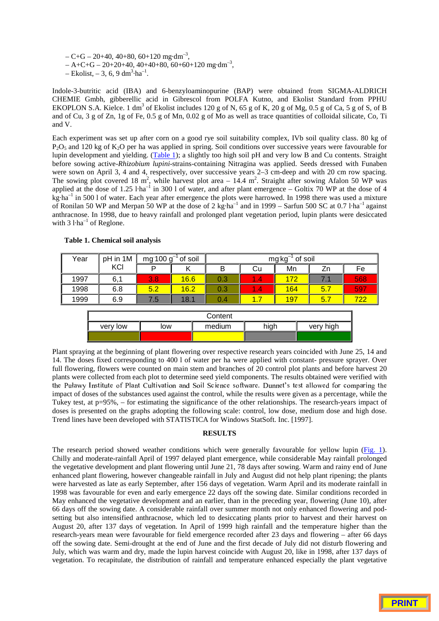$- C + G - 20 + 40, 40 + 80, 60 + 120$  mg·dm<sup>-3</sup>,

- $A + C + G 20 + 20 + 40, 40 + 40 + 80, 60 + 60 + 120$  mg·dm<sup>-3</sup>,
- $-$  Ekolist,  $-3$ , 6, 9 dm<sup>3</sup>·ha<sup>-1</sup>.

Indole-3-butritic acid (IBA) and 6-benzyloaminopurine (BAP) were obtained from SIGMA-ALDRICH CHEMIE Gmbh, gibberellic acid in Gibrescol from POLFA Kutno, and Ekolist Standard from PPHU EKOPLON S.A. Kielce. 1 dm<sup>3</sup> of Ekolist includes 120 g of N, 65 g of K, 20 g of Mg, 0.5 g of Ca, 5 g of S, of B and of Cu, 3 g of Zn, 1g of Fe, 0.5 g of Mn, 0.02 g of Mo as well as trace quantities of colloidal silicate, Co, Ti and V.

Each experiment was set up after corn on a good rye soil suitability complex, IVb soil quality class. 80 kg of  $P_2O_5$  and 120 kg of K<sub>2</sub>O per ha was applied in spring. Soil conditions over successive years were favourable for lupin development and yielding. (Table 1); a slightly too high soil pH and very low B and Cu contents. Straight before sowing active-*Rhizobium lupini*-strains-containing Nitragina was applied. Seeds dressed with Funaben were sown on April 3, 4 and 4, respectively, over successive years 2–3 cm-deep and with 20 cm row spacing. The sowing plot covered 18 m<sup>2</sup>, while harvest plot area  $-14.4$  m<sup>2</sup>. Straight after sowing Afalon 50 WP was applied at the dose of 1.25  $l$ ·ha<sup>-1</sup> in 300 l of water, and after plant emergence – Goltix 70 WP at the dose of 4 kg·ha<sup>-1</sup> in 500 l of water. Each year after emergence the plots were harrowed. In 1998 there was used a mixture of Ronilan 50 WP and Merpan 50 WP at the dose of 2 kg·ha<sup>-1</sup> and in 1999 – Sarfun 500 SC at 0.7 l·ha<sup>-1</sup> against anthracnose. In 1998, due to heavy rainfall and prolonged plant vegetation period, lupin plants were desiccated with  $3$  l·ha<sup>-1</sup> of Reglone.

| Year | pH in 1M |      | mg 100 $g^{-1}$ of soil | $^{-1}$ of soil<br>$mg\,kg^{-}$ |                             |            |     |     |  |
|------|----------|------|-------------------------|---------------------------------|-----------------------------|------------|-----|-----|--|
|      | KCI      | Þ    | κ                       | B                               | Cu                          | Mn         | Zn  | Fe  |  |
| 1997 | 6,1      | 3.8. | 16.6                    | 0.3                             | $\mathbf{1.4}^{\mathsf{T}}$ | 172        | 7.1 | 568 |  |
| 1998 | 6.8      | 5.2  | 16.2                    | 0.3                             | $\mathbf{1.4}^{\mathsf{T}}$ | 164        | 5.7 | 597 |  |
| 1999 | 6.9      | 7.5  | 18.1                    | 0.4                             | 1.7                         | <b>197</b> | 5.7 | 722 |  |
|      |          |      |                         |                                 |                             |            |     |     |  |
|      | Content  |      |                         |                                 |                             |            |     |     |  |
|      | very low | low  |                         | high<br>medium<br>very high     |                             |            |     |     |  |

#### **Table 1. Chemical soil analysis**

Plant spraying at the beginning of plant flowering over respective research years coincided with June 25, 14 and 14. The doses fixed corresponding to 400 l of water per ha were applied with constant- pressure sprayer. Over full flowering, flowers were counted on main stem and branches of 20 control plot plants and before harvest 20 plants were collected from each plot to determine seed yield components. The results obtained were verified with the Puławy Institute of Plant Cultivation and Soil Science software. Dunnet's test allowed for comparing the impact of doses of the substances used against the control, while the results were given as a percentage, while the Tukey test, at p=95%, – for estimating the significance of the other relationships. The research-years impact of doses is presented on the graphs adopting the following scale: control, low dose, medium dose and high dose. Trend lines have been developed with STATISTICA for Windows StatSoft. Inc. [1997].

#### **RESULTS**

The research period showed weather conditions which were generally favourable for yellow lupin (Fig. 1). Chilly and moderate-rainfall April of 1997 delayed plant emergence, while considerable May rainfall prolonged the vegetative development and plant flowering until June 21, 78 days after sowing. Warm and rainy end of June enhanced plant flowering, however changeable rainfall in July and August did not help plant ripening; the plants were harvested as late as early September, after 156 days of vegetation. Warm April and its moderate rainfall in 1998 was favourable for even and early emergence 22 days off the sowing date. Similar conditions recorded in May enhanced the vegetative development and an earlier, than in the preceding year, flowering (June 10), after 66 days off the sowing date. A considerable rainfall over summer month not only enhanced flowering and podsetting but also intensified anthracnose, which led to desiccating plants prior to harvest and their harvest on August 20, after 137 days of vegetation. In April of 1999 high rainfall and the temperature higher than the research-years mean were favourable for field emergence recorded after 23 days and flowering – after 66 days off the sowing date. Semi-drought at the end of June and the first decade of July did not disturb flowering and July, which was warm and dry, made the lupin harvest coincide with August 20, like in 1998, after 137 days of vegetation. To recapitulate, the distribution of rainfall and temperature enhanced especially the plant vegetative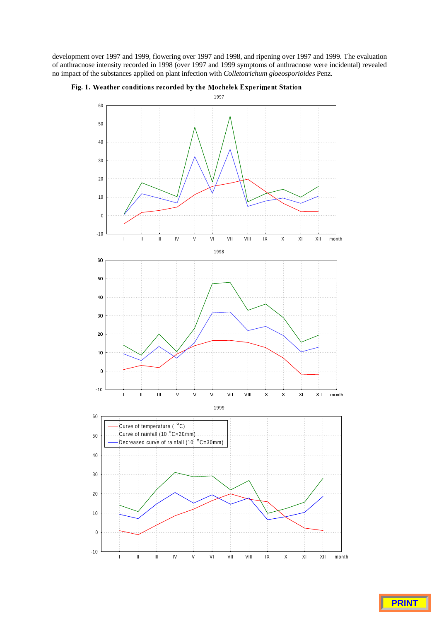development over 1997 and 1999, flowering over 1997 and 1998, and ripening over 1997 and 1999. The evaluation of anthracnose intensity recorded in 1998 (over 1997 and 1999 symptoms of anthracnose were incidental) revealed no impact of the substances applied on plant infection with *Colletotrichum gloeosporioides* Penz.



# Fig. 1. Weather conditions recorded by the Mochelek Experiment Station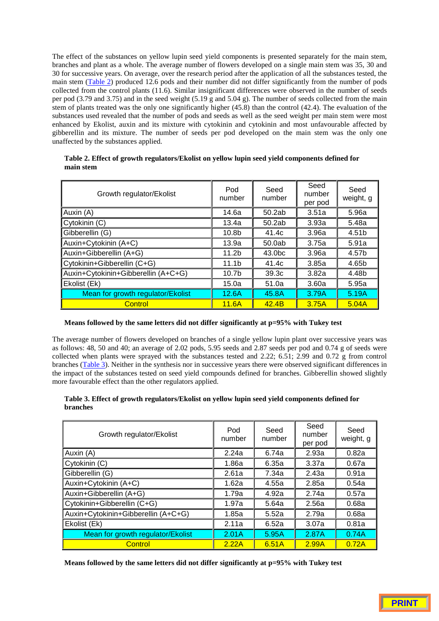The effect of the substances on yellow lupin seed yield components is presented separately for the main stem, branches and plant as a whole. The average number of flowers developed on a single main stem was 35, 30 and 30 for successive years. On average, over the research period after the application of all the substances tested, the main stem (Table 2) produced 12.6 pods and their number did not differ significantly from the number of pods collected from the control plants (11.6). Similar insignificant differences were observed in the number of seeds per pod (3.79 and 3.75) and in the seed weight (5.19 g and 5.04 g). The number of seeds collected from the main stem of plants treated was the only one significantly higher (45.8) than the control (42.4). The evaluation of the substances used revealed that the number of pods and seeds as well as the seed weight per main stem were most enhanced by Ekolist, auxin and its mixture with cytokinin and cytokinin and most unfavourable affected by gibberellin and its mixture. The number of seeds per pod developed on the main stem was the only one unaffected by the substances applied.

| Growth regulator/Ekolist            | Pod<br>number     | Seed<br>number     | Seed<br>number<br>per pod | Seed<br>weight, g |
|-------------------------------------|-------------------|--------------------|---------------------------|-------------------|
| Auxin (A)                           | 14.6a             | 50.2ab             | 3.51a                     | 5.96a             |
| Cytokinin (C)                       | 13.4a             | 50.2ab             | 3.93a                     | 5.48a             |
| Gibberellin (G)                     | 10.8 <sub>b</sub> | 41.4c              | 3.96a                     | 4.51b             |
| Auxin+Cytokinin (A+C)               | 13.9a             | 50.0ab             | 3.75a                     | 5.91a             |
| Auxin+Gibberellin (A+G)             | 11.2 <sub>b</sub> | 43.0 <sub>bc</sub> | 3.96a                     | 4.57b             |
| Cytokinin+Gibberellin (C+G)         | 11.1 <sub>b</sub> | 41.4c              | 3.85a                     | 4.65b             |
| Auxin+Cytokinin+Gibberellin (A+C+G) | 10.7 <sub>b</sub> | 39.3c              | 3.82a                     | 4.48b             |
| Ekolist (Ek)                        | 15.0a             | 51.0a              | 3.60a                     | 5.95a             |
| Mean for growth regulator/Ekolist   | 12.6A             | 45.8A              | 3.79A                     | 5.19A             |
| Control                             | 11.6A             | 42.4B              | 3.75A                     | 5.04A             |

# **Table 2. Effect of growth regulators/Ekolist on yellow lupin seed yield components defined for main stem**

# **Means followed by the same letters did not differ significantly at p=95% with Tukey test**

The average number of flowers developed on branches of a single yellow lupin plant over successive years was as follows: 48, 50 and 40; an average of 2.02 pods, 5.95 seeds and 2.87 seeds per pod and 0.74 g of seeds were collected when plants were sprayed with the substances tested and 2.22; 6.51; 2.99 and 0.72 g from control branches (Table 3). Neither in the synthesis nor in successive years there were observed significant differences in the impact of the substances tested on seed yield compounds defined for branches. Gibberellin showed slightly more favourable effect than the other regulators applied.

# **Table 3. Effect of growth regulators/Ekolist on yellow lupin seed yield components defined for branches**

| Growth regulator/Ekolist            | Pod<br>number | Seed<br>number | Seed<br>number<br>per pod | Seed<br>weight, g |
|-------------------------------------|---------------|----------------|---------------------------|-------------------|
| Auxin (A)                           | 2.24a         | 6.74a          | 2.93a                     | 0.82a             |
| Cytokinin (C)                       | 1.86a         | 6.35a          | 3.37a                     | 0.67a             |
| Gibberellin (G)                     | 2.61a         | 7.34a          | 2.43a                     | 0.91a             |
| Auxin+Cytokinin (A+C)               | 1.62a         | 4.55a          | 2.85a                     | 0.54a             |
| Auxin+Gibberellin (A+G)             | 1.79a         | 4.92a          | 2.74a                     | 0.57a             |
| Cytokinin+Gibberellin (C+G)         | 1.97a         | 5.64a          | 2.56a                     | 0.68a             |
| Auxin+Cytokinin+Gibberellin (A+C+G) | 1.85a         | 5.52a          | 2.79a                     | 0.68a             |
| Ekolist (Ek)                        | 2.11a         | 6.52a          | 3.07a                     | 0.81a             |
| Mean for growth regulator/Ekolist   | 2.01A         | 5.95A          | 2.87A                     | 0.74A             |
| Control                             | 2.22A         | 6.51A          | 2.99A                     | 0.72A             |

**Means followed by the same letters did not differ significantly at p=95% with Tukey test**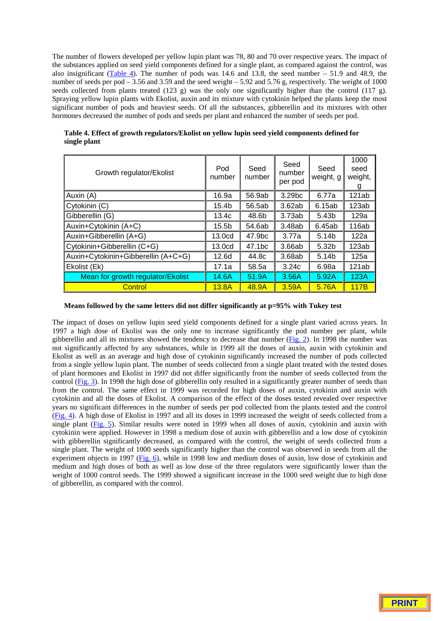The number of flowers developed per yellow lupin plant was 78, 80 and 70 over respective years. The impact of the substances applied on seed yield components defined for a single plant, as compared against the control, was also insignificant (Table 4). The number of pods was 14.6 and 13.8, the seed number – 51.9 and 48.9, the number of seeds per pod – 3.56 and 3.59 and the seed weight – 5.92 and 5.76 g, respectively. The weight of 1000 seeds collected from plants treated (123 g) was the only one significantly higher than the control (117 g). Spraying yellow lupin plants with Ekolist, auxin and its mixture with cytokinin helped the plants keep the most significant number of pods and heaviest seeds. Of all the substances, gibberellin and its mixtures with other hormones decreased the number of pods and seeds per plant and enhanced the number of seeds per pod.

| Growth regulator/Ekolist            | Pod<br>number     | Seed<br>number | Seed<br>number<br>per pod | Seed<br>weight, g | 1000<br>seed<br>weight,<br>g |
|-------------------------------------|-------------------|----------------|---------------------------|-------------------|------------------------------|
| Auxin (A)                           | 16.9a             | 56.9ab         | 3.29bc                    | 6.77a             | 121ab                        |
| Cytokinin (C)                       | 15.4b             | 56.5ab         | 3.62ab                    | 6.15ab            | 123ab                        |
| Gibberellin (G)                     | 13.4c             | 48.6b          | 3.73ab                    | 5.43b             | 129a                         |
| Auxin+Cytokinin (A+C)               | 15.5 <sub>b</sub> | 54.6ab         | 3.48ab                    | 6.45ab            | 116ab                        |
| Auxin+Gibberellin (A+G)             | 13.0cd            | 47.9bc         | 3.77a                     | 5.14 <sub>b</sub> | 122a                         |
| Cytokinin+Gibberellin (C+G)         | 13.0cd            | 47.1bc         | 3.66ab                    | 5.32b             | 123ab                        |
| Auxin+Cytokinin+Gibberellin (A+C+G) | 12.6 <sub>d</sub> | 44.8c          | 3.68ab                    | 5.14 <sub>b</sub> | 125a                         |
| Ekolist (Ek)                        | 17.1a             | 58.5a          | 3.24c                     | 6.98a             | 121ab                        |
| Mean for growth regulator/Ekolist   | 14.6A             | 51.9A          | 3.56A                     | 5.92A             | 123A                         |
| Control                             | 13.8A             | 48.9A          | 3.59A                     | 5.76A             | 117B                         |

**Table 4. Effect of growth regulators/Ekolist on yellow lupin seed yield components defined for single plant**

# **Means followed by the same letters did not differ significantly at p=95% with Tukey test**

The impact of doses on yellow lupin seed yield components defined for a single plant varied across years. In 1997 a high dose of Ekolist was the only one to increase significantly the pod number per plant, while gibberellin and all its mixtures showed the tendency to decrease that number (Fig. 2). In 1998 the number was not significantly affected by any substances, while in 1999 all the doses of auxin, auxin with cytokinin and Ekolist as well as an average and high dose of cytokinin significantly increased the number of pods collected from a single yellow lupin plant. The number of seeds collected from a single plant treated with the tested doses of plant hormones and Ekolist in 1997 did not differ significantly from the number of seeds collected from the control (Fig. 3). In 1998 the high dose of gibberellin only resulted in a significantly greater number of seeds than from the control. The same effect in 1999 was recorded for high doses of auxin, cytokinin and auxin with cytokinin and all the doses of Ekolist. A comparison of the effect of the doses tested revealed over respective years no significant differences in the number of seeds per pod collected from the plants tested and the control (Fig. 4). A high dose of Ekolist in 1997 and all its doses in 1999 increased the weight of seeds collected from a single plant (Fig. 5). Similar results were noted in 1999 when all doses of auxin, cytokinin and auxin with cytokinin were applied. However in 1998 a medium dose of auxin with gibberellin and a low dose of cytokinin with gibberellin significantly decreased, as compared with the control, the weight of seeds collected from a single plant. The weight of 1000 seeds significantly higher than the control was observed in seeds from all the experiment objects in 1997 (Fig. 6), while in 1998 low and medium doses of auxin, low dose of cytokinin and medium and high doses of both as well as low dose of the three regulators were significantly lower than the weight of 1000 control seeds. The 1999 showed a significant increase in the 1000 seed weight due to high dose of gibberellin, as compared with the control.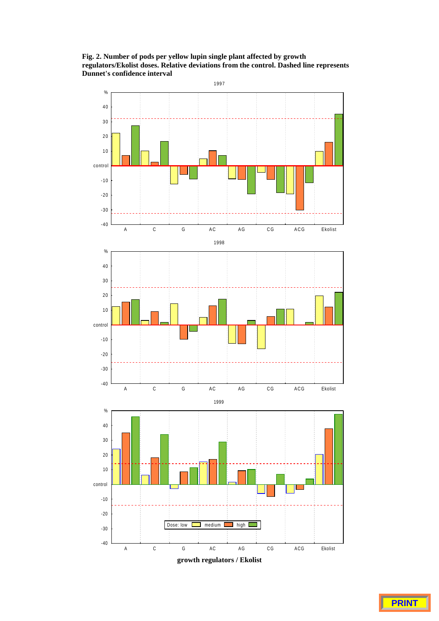**Fig. 2. Number of pods per yellow lupin single plant affected by growth regulators/Ekolist doses. Relative deviations from the control. Dashed line represents Dunnet's confidence interval**

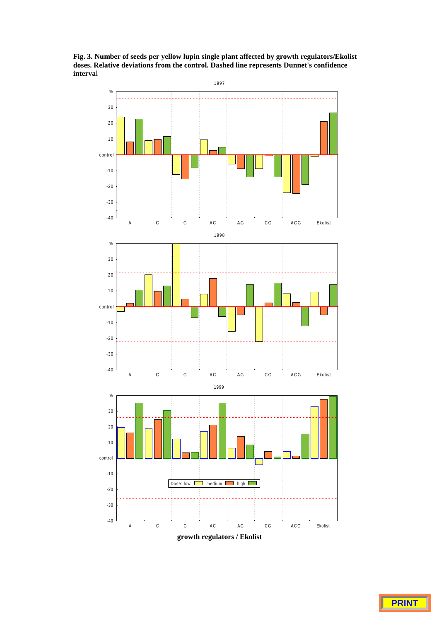**Fig. 3. Number of seeds per yellow lupin single plant affected by growth regulators/Ekolist doses. Relative deviations from the control. Dashed line represents Dunnet's confidence interva**l

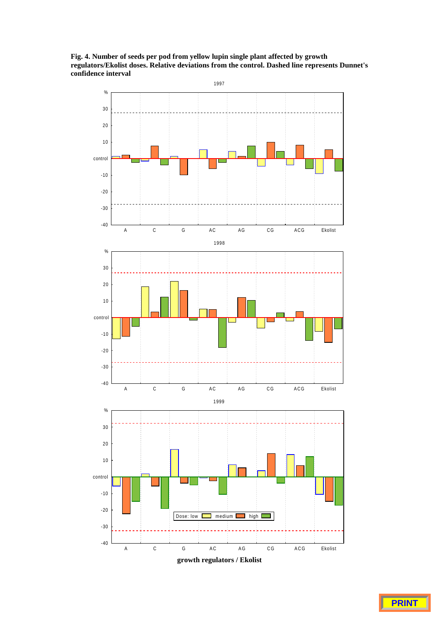**Fig. 4. Number of seeds per pod from yellow lupin single plant affected by growth regulators/Ekolist doses. Relative deviations from the control. Dashed line represents Dunnet's confidence interval**

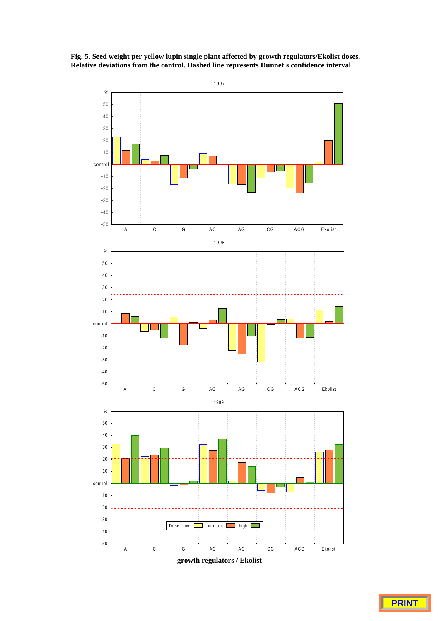

**Fig. 5. Seed weight per yellow lupin single plant affected by growth regulators/Ekolist doses. Relative deviations from the control. Dashed line represents Dunnet's confidence interval**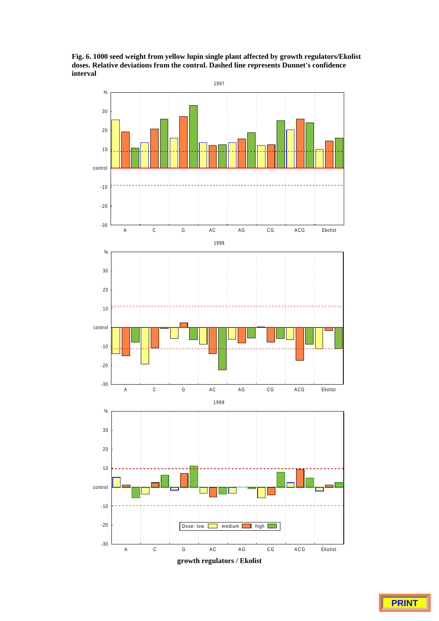**Fig. 6. 1000 seed weight from yellow lupin single plant affected by growth regulators/Ekolist doses. Relative deviations from the control. Dashed line represents Dunnet's confidence interval**

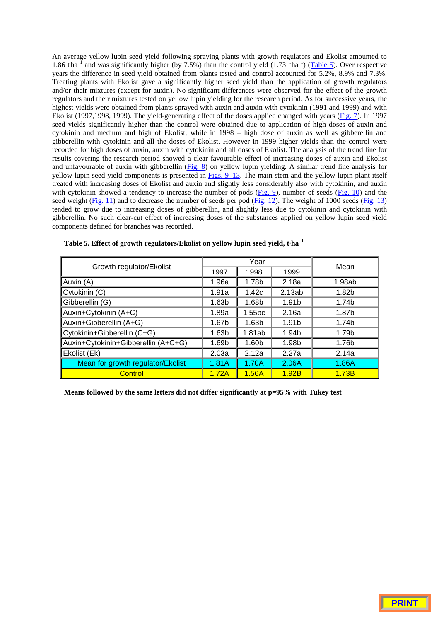An average yellow lupin seed yield following spraying plants with growth regulators and Ekolist amounted to 1.86 tha<sup>-1</sup> and was significantly higher (by 7.5%) than the control yield (1.73 tha<sup>-1</sup>) (**Table 5**). Over respective years the difference in seed yield obtained from plants tested and control accounted for 5.2%, 8.9% and 7.3%. Treating plants with Ekolist gave a significantly higher seed yield than the application of growth regulators and/or their mixtures (except for auxin). No significant differences were observed for the effect of the growth regulators and their mixtures tested on yellow lupin yielding for the research period. As for successive years, the highest yields were obtained from plants sprayed with auxin and auxin with cytokinin (1991 and 1999) and with Ekolist (1997,1998, 1999). The yield-generating effect of the doses applied changed with years (Fig. 7). In 1997 seed yields significantly higher than the control were obtained due to application of high doses of auxin and cytokinin and medium and high of Ekolist, while in 1998 – high dose of auxin as well as gibberellin and gibberellin with cytokinin and all the doses of Ekolist. However in 1999 higher yields than the control were recorded for high doses of auxin, auxin with cytokinin and all doses of Ekolist. The analysis of the trend line for results covering the research period showed a clear favourable effect of increasing doses of auxin and Ekolist and unfavourable of auxin with gibberellin  $(Fig. 8)$  on yellow lupin yielding. A similar trend line analysis for yellow lupin seed yield components is presented in Figs. 9–13. The main stem and the yellow lupin plant itself treated with increasing doses of Ekolist and auxin and slightly less considerably also with cytokinin, and auxin with cytokinin showed a tendency to increase the number of pods  $(Fig. 9)$ , number of seeds  $(Fig. 10)$  and the seed weight ( $Fig. 11$ ) and to decrease the number of seeds per pod ( $Fig. 12$ ). The weight of 1000 seeds ( $Fig. 13$ ) tended to grow due to increasing doses of gibberellin, and slightly less due to cytokinin and cytokinin with gibberellin. No such clear-cut effect of increasing doses of the substances applied on yellow lupin seed yield components defined for branches was recorded.

|                                     |                   | Year               | Mean                                                                                      |        |
|-------------------------------------|-------------------|--------------------|-------------------------------------------------------------------------------------------|--------|
| Growth regulator/Ekolist            | 1997              | 1998               | 1999<br>2.18a<br>2.13ab<br>1.91b<br>2.16a<br>1.91 <sub>b</sub><br>1.94b<br>1.98b<br>2.27a |        |
| Auxin (A)                           | 1.96a             | 1.78b              |                                                                                           | 1.98ab |
| Cytokinin (C)                       | 1.91a             | 1.42c              |                                                                                           | 1.82b  |
| Gibberellin (G)                     | 1.63 <sub>b</sub> | 1.68b              |                                                                                           | 1.74b  |
| Auxin+Cytokinin (A+C)               | 1.89a             | 1.55 <sub>bc</sub> |                                                                                           | 1.87b  |
| Auxin+Gibberellin (A+G)             | 1.67b             | 1.63 <sub>b</sub>  |                                                                                           | 1.74b  |
| Cytokinin+Gibberellin (C+G)         | 1.63 <sub>b</sub> | 1.81ab             |                                                                                           | 1.79b  |
| Auxin+Cytokinin+Gibberellin (A+C+G) | 1.69b             | 1.60 <sub>b</sub>  |                                                                                           | 1.76b  |
| Ekolist (Ek)                        | 2.03a             | 2.12a              |                                                                                           | 2.14a  |
| Mean for growth regulator/Ekolist   | 1.81A             | 1.70A              | 2.06A                                                                                     | 1.86A  |
| Control                             | 1.72A             | 1.56A              | 1.92B                                                                                     | 1.73B  |

|  | Table 5. Effect of growth regulators/Ekolist on yellow lupin seed yield, t-ha <sup>-1</sup> |  |  |  |
|--|---------------------------------------------------------------------------------------------|--|--|--|
|  |                                                                                             |  |  |  |
|  |                                                                                             |  |  |  |
|  |                                                                                             |  |  |  |

**Means followed by the same letters did not differ significantly at p=95% with Tukey test**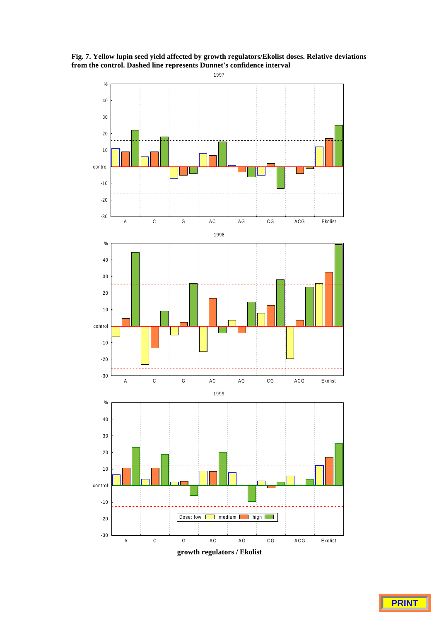**Fig. 7. Yellow lupin seed yield affected by growth regulators/Ekolist doses. Relative deviations from the control. Dashed line represents Dunnet's confidence interval**



**growth regulators / Ekolist**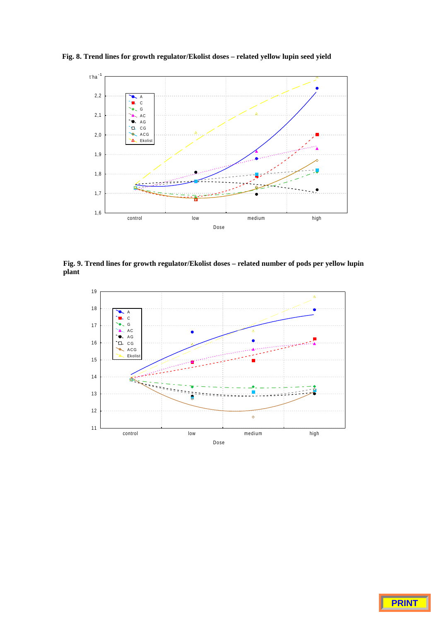**Fig. 8. Trend lines for growth regulator/Ekolist doses – related yellow lupin seed yield**



**Fig. 9. Trend lines for growth regulator/Ekolist doses – related number of pods per yellow lupin plant**



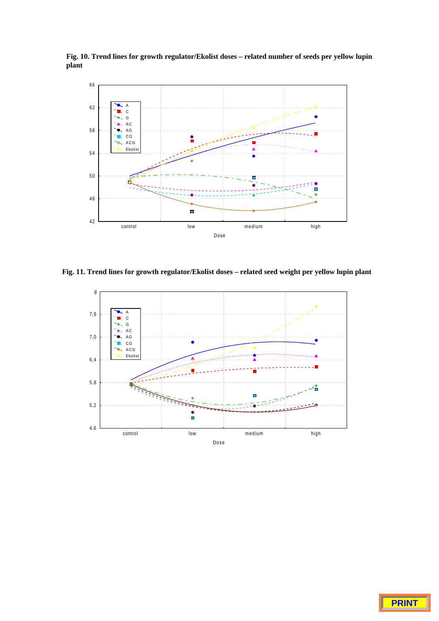**Fig. 10. Trend lines for growth regulator/Ekolist doses – related number of seeds per yellow lupin plant**



**Fig. 11. Trend lines for growth regulator/Ekolist doses – related seed weight per yellow lupin plant**



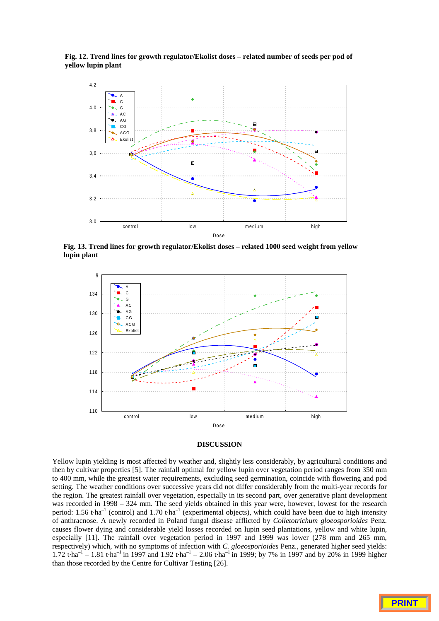**Fig. 12. Trend lines for growth regulator/Ekolist doses – related number of seeds per pod of yellow lupin plant**



**Fig. 13. Trend lines for growth regulator/Ekolist doses – related 1000 seed weight from yellow lupin plant**



# **DISCUSSION**

Yellow lupin yielding is most affected by weather and, slightly less considerably, by agricultural conditions and then by cultivar properties [5]. The rainfall optimal for yellow lupin over vegetation period ranges from 350 mm to 400 mm, while the greatest water requirements, excluding seed germination, coincide with flowering and pod setting. The weather conditions over successive years did not differ considerably from the multi-year records for the region. The greatest rainfall over vegetation, especially in its second part, over generative plant development was recorded in 1998 – 324 mm. The seed yields obtained in this year were, however, lowest for the research period: 1.56 t·ha<sup>-1</sup> (control) and 1.70 t·ha<sup>-1</sup> (experimental objects), which could have been due to high intensity of anthracnose. A newly recorded in Poland fungal disease afflicted by *Colletotrichum gloeosporioides* Penz. causes flower dying and considerable yield losses recorded on lupin seed plantations, yellow and white lupin, especially [11]. The rainfall over vegetation period in 1997 and 1999 was lower (278 mm and 265 mm, respectively) which, with no symptoms of infection with *C. gloeosporioides* Penz., generated higher seed yields: 1.72 t·ha<sup>-1</sup> – 1.81 t·ha<sup>-1</sup> in 1997 and 1.92 t·ha<sup>-1</sup> – 2.06 t·ha<sup>-1</sup> in 1999; by 7% in 1997 and by 20% in 1999 higher than those recorded by the Centre for Cultivar Testing [26].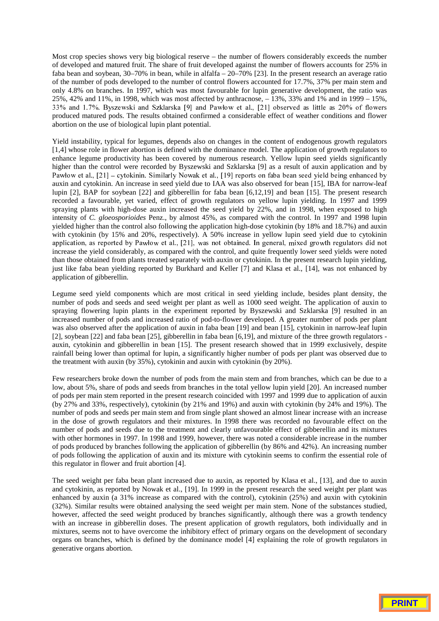Most crop species shows very big biological reserve – the number of flowers considerably exceeds the number of developed and matured fruit. The share of fruit developed against the number of flowers accounts for 25% in faba bean and soybean, 30–70% in bean, while in alfalfa – 20–70% [23]. In the present research an average ratio of the number of pods developed to the number of control flowers accounted for 17.7%, 37% per main stem and only 4.8% on branches. In 1997, which was most favourable for lupin generative development, the ratio was 25%, 42% and 11%, in 1998, which was most affected by anthracnose, – 13%, 33% and 1% and in 1999 – 15%,  $33\%$  and  $1.7\%$ . Byszewski and Szklarska [9] and Pawłow et al., [21] observed as little as 20% of flowers produced matured pods. The results obtained confirmed a considerable effect of weather conditions and flower abortion on the use of biological lupin plant potential.

Yield instability, typical for legumes, depends also on changes in the content of endogenous growth regulators [1,4] whose role in flower abortion is defined with the dominance model. The application of growth regulators to enhance legume productivity has been covered by numerous research. Yellow lupin seed yields significantly higher than the control were recorded by Byszewski and Szklarska [9] as a result of auxin application and by Pawłow et al.,  $[21]$  – cytokinin. Similarly Nowak et al., [19] reports on faba bean seed yield being enhanced by auxin and cytokinin. An increase in seed yield due to IAA was also observed for bean [15], IBA for narrow-leaf lupin [2], BAP for soybean [22] and gibberellin for faba bean [6,12,19] and bean [15]. The present research recorded a favourable, yet varied, effect of growth regulators on yellow lupin yielding. In 1997 and 1999 spraying plants with high-dose auxin increased the seed yield by 22%, and in 1998, when exposed to high intensity of *C. gloeosporioides* Penz., by almost 45%, as compared with the control. In 1997 and 1998 lupin yielded higher than the control also following the application high-dose cytokinin (by 18% and 18.7%) and auxin with cytokinin (by 15% and 20%, respectively). A 50% increase in yellow lupin seed yield due to cytokinin application, as reported by Pawłow et al., [21], was not obtained. In general, mixed growth regulators did not increase the yield considerably, as compared with the control, and quite frequently lower seed yields were noted than those obtained from plants treated separately with auxin or cytokinin. In the present research lupin yielding, just like faba bean yielding reported by Burkhard and Keller [7] and Klasa et al., [14], was not enhanced by application of gibberellin.

Legume seed yield components which are most critical in seed yielding include, besides plant density, the number of pods and seeds and seed weight per plant as well as 1000 seed weight. The application of auxin to spraying flowering lupin plants in the experiment reported by Byszewski and Szklarska [9] resulted in an increased number of pods and increased ratio of pod-to-flower developed. A greater number of pods per plant was also observed after the application of auxin in faba bean [19] and bean [15], cytokinin in narrow-leaf lupin [2], soybean [22] and faba bean [25], gibberellin in faba bean [6,19], and mixture of the three growth regulators auxin, cytokinin and gibberellin in bean [15]. The present research showed that in 1999 exclusively, despite rainfall being lower than optimal for lupin, a significantly higher number of pods per plant was observed due to the treatment with auxin (by 35%), cytokinin and auxin with cytokinin (by 20%).

Few researchers broke down the number of pods from the main stem and from branches, which can be due to a low, about 5%, share of pods and seeds from branches in the total yellow lupin yield [20]. An increased number of pods per main stem reported in the present research coincided with 1997 and 1999 due to application of auxin (by 27% and 33%, respectively), cytokinin (by 21% and 19%) and auxin with cytokinin (by 24% and 19%). The number of pods and seeds per main stem and from single plant showed an almost linear increase with an increase in the dose of growth regulators and their mixtures. In 1998 there was recorded no favourable effect on the number of pods and seeds due to the treatment and clearly unfavourable effect of gibberellin and its mixtures with other hormones in 1997. In 1998 and 1999, however, there was noted a considerable increase in the number of pods produced by branches following the application of gibberellin (by 86% and 42%). An increasing number of pods following the application of auxin and its mixture with cytokinin seems to confirm the essential role of this regulator in flower and fruit abortion [4].

The seed weight per faba bean plant increased due to auxin, as reported by Klasa et al., [13], and due to auxin and cytokinin, as reported by Nowak et al., [19]. In 1999 in the present research the seed weight per plant was enhanced by auxin (a 31% increase as compared with the control), cytokinin (25%) and auxin with cytokinin (32%). Similar results were obtained analysing the seed weight per main stem. None of the substances studied, however, affected the seed weight produced by branches significantly, although there was a growth tendency with an increase in gibberellin doses. The present application of growth regulators, both individually and in mixtures, seems not to have overcome the inhibitory effect of primary organs on the development of secondary organs on branches, which is defined by the dominance model [4] explaining the role of growth regulators in generative organs abortion.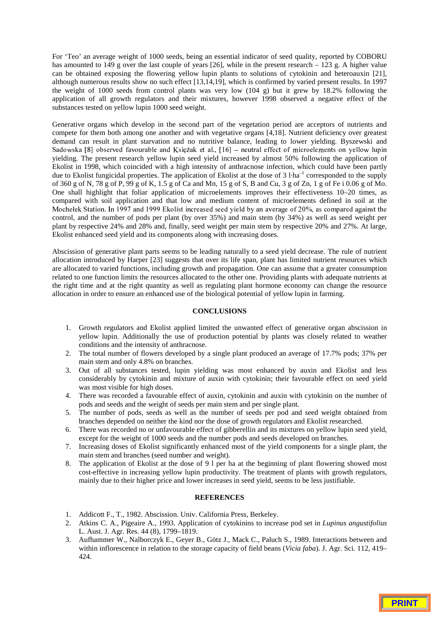For 'Teo' an average weight of 1000 seeds, being an essential indicator of seed quality, reported by COBORU has amounted to 149 g over the last couple of years [26], while in the present research  $-123$  g. A higher value can be obtained exposing the flowering yellow lupin plants to solutions of cytokinin and heteroauxin [21], although numerous results show no such effect [13,14,19], which is confirmed by varied present results. In 1997 the weight of 1000 seeds from control plants was very low (104 g) but it grew by 18.2% following the application of all growth regulators and their mixtures, however 1998 observed a negative effect of the substances tested on yellow lupin 1000 seed weight.

Generative organs which develop in the second part of the vegetation period are acceptors of nutrients and compete for them both among one another and with vegetative organs [4,18]. Nutrient deficiency over greatest demand can result in plant starvation and no nutritive balance, leading to lower yielding. Byszewski and Sadowska [8] observed favourable and Księżak et al., [16] – neutral effect of microelements on yellow lupin yielding. The present research yellow lupin seed yield increased by almost 50% following the application of Ekolist in 1998, which coincided with a high intensity of anthracnose infection, which could have been partly due to Ekolist fungicidal properties. The application of Ekolist at the dose of 3 l·ha<sup>-1</sup> corresponded to the supply of 360 g of N, 78 g of P,  $99 \text{ g}$  of K, 1.5 g of Ca and Mn, 15 g of S, B and Cu, 3 g of Zn, 1 g of Fe i 0.06 g of Mo. One shall highlight that foliar application of microelements improves their effectiveness 10–20 times, as compared with soil application and that low and medium content of microelements defined in soil at the Mochełek Station. In 1997 and 1999 Ekolist increased seed yield by an average of 20%, as compared against the control, and the number of pods per plant (by over 35%) and main stem (by 34%) as well as seed weight per plant by respective 24% and 28% and, finally, seed weight per main stem by respective 20% and 27%. At large, Ekolist enhanced seed yield and its components along with increasing doses.

Abscission of generative plant parts seems to be leading naturally to a seed yield decrease. The rule of nutrient allocation introduced by Harper [23] suggests that over its life span, plant has limited nutrient resources which are allocated to varied functions, including growth and propagation. One can assume that a greater consumption related to one function limits the resources allocated to the other one. Providing plants with adequate nutrients at the right time and at the right quantity as well as regulating plant hormone economy can change the resource allocation in order to ensure an enhanced use of the biological potential of yellow lupin in farming.

## **CONCLUSIONS**

- 1. Growth regulators and Ekolist applied limited the unwanted effect of generative organ abscission in yellow lupin. Additionally the use of production potential by plants was closely related to weather conditions and the intensity of anthracnose.
- 2. The total number of flowers developed by a single plant produced an average of 17.7% pods; 37% per main stem and only 4.8% on branches.
- 3. Out of all substances tested, lupin yielding was most enhanced by auxin and Ekolist and less considerably by cytokinin and mixture of auxin with cytokinin; their favourable effect on seed yield was most visible for high doses.
- 4. There was recorded a favourable effect of auxin, cytokinin and auxin with cytokinin on the number of pods and seeds and the weight of seeds per main stem and per single plant.
- 5. The number of pods, seeds as well as the number of seeds per pod and seed weight obtained from branches depended on neither the kind nor the dose of growth regulators and Ekolist researched.
- 6. There was recorded no or unfavourable effect of gibberellin and its mixtures on yellow lupin seed yield, except for the weight of 1000 seeds and the number pods and seeds developed on branches.
- 7. Increasing doses of Ekolist significantly enhanced most of the yield components for a single plant, the main stem and branches (seed number and weight).
- 8. The application of Ekolist at the dose of 9 l per ha at the beginning of plant flowering showed most cost-effective in increasing yellow lupin productivity. The treatment of plants with growth regulators, mainly due to their higher price and lower increases in seed yield, seems to be less justifiable.

# **REFERENCES**

- 1. Addicott F., T., 1982. Abscission. Univ. California Press, Berkeley.
- 2. Atkins C. A., Pigeaire A., 1993. Application of cytokinins to increase pod set in *Lupinus angustifolius* L. Aust. J. Agr. Res. 44 (8), 1799–1819.
- 3. Aufhammer W., Nalborczyk E., Geyer B., Götz J., Mack C., Paluch S., 1989. Interactions between and within inflorescence in relation to the storage capacity of field beans (*Vicia faba*). J. Agr. Sci. 112, 419– 424.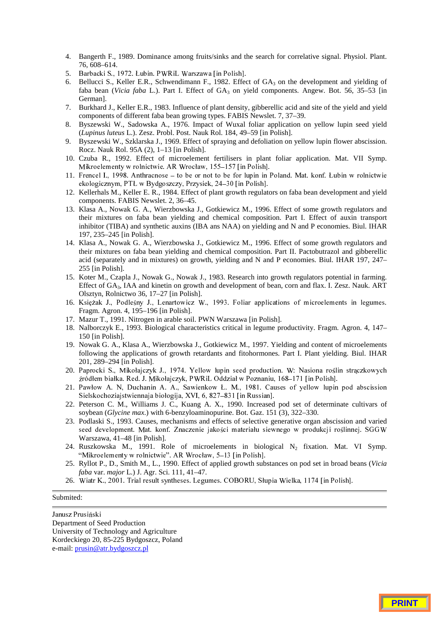- 4. Bangerth F., 1989. Dominance among fruits/sinks and the search for correlative signal. Physiol. Plant. 76, 608–614.
- 5. Barbacki S., 1972. Łubin. PWRiL Warszawa [in Polish].
- 6. Bellucci S., Keller E.R., Schwendimann F., 1982. Effect of GA<sub>3</sub> on the development and yielding of faba bean (*Vicia faba* L.). Part I. Effect of GA<sub>3</sub> on yield components. Angew. Bot. 56, 35–53 [in] German].
- 7. Burkhard J., Keller E.R., 1983. Influence of plant density, gibberellic acid and site of the yield and yield components of different faba bean growing types. FABIS Newslet. 7, 37–39.
- 8. Byszewski W., Sadowska A., 1976. Impact of Wuxal foliar application on yellow lupin seed yield (*Lupinus luteus* L.). Zesz. Probl. Post. Nauk Rol. 184, 49–59 [in Polish].
- 9. Byszewski W., Szklarska J., 1969. Effect of spraying and defoliation on yellow lupin flower abscission. Rocz. Nauk Rol. 95A (2), 1–13 [in Polish].
- 10. Czuba R., 1992. Effect of microelement fertilisers in plant foliar application. Mat. VII Symp. Mikroelementy w rolnictwie. AR Wrocław, 155-157 [in Polish].
- 11. Frencel I., 1998. Anthracnose to be or not to be for lupin in Poland. Mat. konf. Łubin w rolnictwie  $ekologicznym, PTL w Bydgoszczy, Przysiek, 24–30 [in Polish].$
- 12. Kellerhals M., Keller E. R., 1984. Effect of plant growth regulators on faba bean development and yield components. FABIS Newslet. 2, 36–45.
- 13. Klasa A., Nowak G. A., Wierzbowska J., Gotkiewicz M., 1996. Effect of some growth regulators and their mixtures on faba bean yielding and chemical composition. Part I. Effect of auxin transport inhibitor (TIBA) and synthetic auxins (IBA ans NAA) on yielding and N and P economies. Biul. IHAR 197, 235–245 [in Polish].
- 14. Klasa A., Nowak G. A., Wierzbowska J., Gotkiewicz M., 1996. Effect of some growth regulators and their mixtures on faba bean yielding and chemical composition. Part II. Pactobutrazol and gibberellic acid (separately and in mixtures) on growth, yielding and N and P economies. Biul. IHAR 197, 247– 255 [in Polish].
- 15. Koter M., Czapla J., Nowak G., Nowak J., 1983. Research into growth regulators potential in farming. Effect of GA<sub>3</sub>, IAA and kinetin on growth and development of bean, corn and flax. I. Zesz. Nauk. ART Olsztyn, Rolnictwo 36, 17–27 [in Polish].
- 16. Księżak J., Podleśny J., Lenartowicz W., 1993. Foliar applications of microelements in legumes. Fragm. Agron. 4, 195–196 [in Polish].
- 17. Mazur T., 1991. Nitrogen in arable soil. PWN Warszawa [in Polish].
- 18. Nalborczyk E., 1993. Biological characteristics critical in legume productivity. Fragm. Agron. 4, 147– 150 [in Polish].
- 19. Nowak G. A., Klasa A., Wierzbowska J., Gotkiewicz M., 1997. Yielding and content of microelements following the applications of growth retardants and fitohormones. Part I. Plant yielding. Biul. IHAR 201, 289–294 [in Polish].
- 20. Paprocki S., Mikołajczyk J., 1974. Yellow lupin seed production. W: Nasiona roślin straczkowych źródłem białka. Red. J. Mikołajczyk, PWRiL Oddział w Poznaniu, 168–171 [in Polish].
- 21. Pawłow A. N, Duchanin A. A., Sawienkow Ł. M., 1981. Causes of yellow lupin pod abscission Sielskochoziajstwiennaja biołogija, XVI, 6, 827–831 [in Russian].
- 22. Peterson C. M., Williams J. C., Kuang A. X., 1990. Increased pod set of determinate cultivars of soybean (*Glycine max*.) with 6-benzyloaminopurine. Bot. Gaz. 151 (3), 322–330.
- 23. Podlaski S., 1993. Causes, mechanisms and effects of selective generative organ abscission and varied seed development. Mat. konf. Znaczenie jakości materiału siewnego w produkcji roślinnej. SGGW Warszawa, 41–48 [in Polish].
- 24. Ruszkowska M., 1991. Role of microelements in biological  $N_2$  fixation. Mat. VI Symp. "Mikroelementy w rolnictwie". AR Wrocław, 5-13 [in Polish].
- 25. Ryllot P., D., Smith M., L., 1990. Effect of applied growth substances on pod set in broad beans (*Vicia faba* var. *major* L.) J. Agr. Sci. 111, 41–47.
- 26. Wiatr K., 2001. Trial result syntheses. Legumes. COBORU, Słupia Wielka, 1174 [in Polish].

#### Submited:

Janusz Prusiński Department of Seed Production University of Technology and Agriculture Kordeckiego 20, 85-225 Bydgoszcz, Poland e-mail: prusin@atr.bydgoszcz.pl